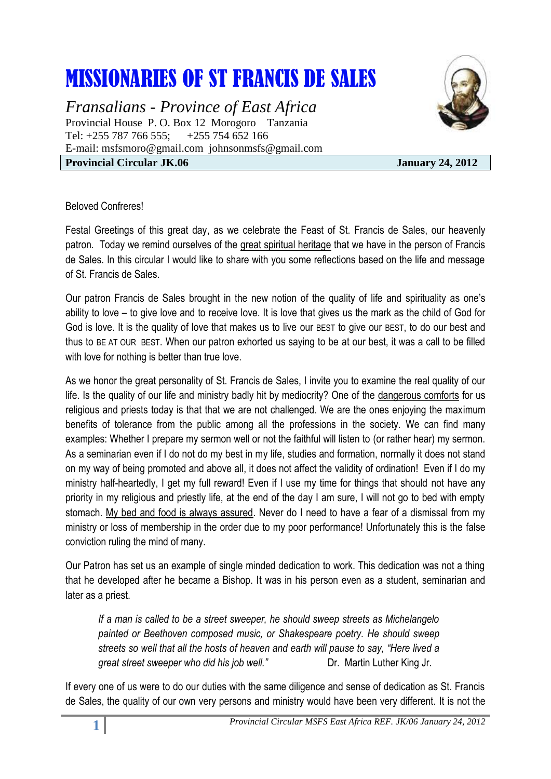## MISSIONARIES OF ST FRANCIS DE SALES

*Fransalians - Province of East Africa* Provincial House P. O. Box 12 Morogoro Tanzania Tel: +255 787 766 555; +255 754 652 166 E-mail: [msfsmoro@gmail.com](mailto:msfsmoro@gmail.com) johnsonmsfs@gmail.com **Provincial Circular JK.06** January 24, 2012



## Beloved Confreres!

Festal Greetings of this great day, as we celebrate the Feast of St. Francis de Sales, our heavenly patron. Today we remind ourselves of the great spiritual heritage that we have in the person of Francis de Sales. In this circular I would like to share with you some reflections based on the life and message of St. Francis de Sales.

Our patron Francis de Sales brought in the new notion of the quality of life and spirituality as one's ability to love – to give love and to receive love. It is love that gives us the mark as the child of God for God is love. It is the quality of love that makes us to live our BEST to give our BEST, to do our best and thus to BE AT OUR BEST. When our patron exhorted us saying to be at our best, it was a call to be filled with love for nothing is better than true love.

As we honor the great personality of St. Francis de Sales, I invite you to examine the real quality of our life. Is the quality of our life and ministry badly hit by mediocrity? One of the dangerous comforts for us religious and priests today is that that we are not challenged. We are the ones enjoying the maximum benefits of tolerance from the public among all the professions in the society. We can find many examples: Whether I prepare my sermon well or not the faithful will listen to (or rather hear) my sermon. As a seminarian even if I do not do my best in my life, studies and formation, normally it does not stand on my way of being promoted and above all, it does not affect the validity of ordination! Even if I do my ministry half-heartedly, I get my full reward! Even if I use my time for things that should not have any priority in my religious and priestly life, at the end of the day I am sure, I will not go to bed with empty stomach. My bed and food is always assured. Never do I need to have a fear of a dismissal from my ministry or loss of membership in the order due to my poor performance! Unfortunately this is the false conviction ruling the mind of many.

Our Patron has set us an example of single minded dedication to work. This dedication was not a thing that he developed after he became a Bishop. It was in his person even as a student, seminarian and later as a priest.

*If a man is called to be a street sweeper, he should sweep streets as Michelangelo painted or Beethoven composed music, or Shakespeare poetry. He should sweep streets so well that all the hosts of heaven and earth will pause to say, "Here lived a great street sweeper who did his job well.*" Dr. Martin Luther King Jr.

If every one of us were to do our duties with the same diligence and sense of dedication as St. Francis de Sales, the quality of our own very persons and ministry would have been very different. It is not the